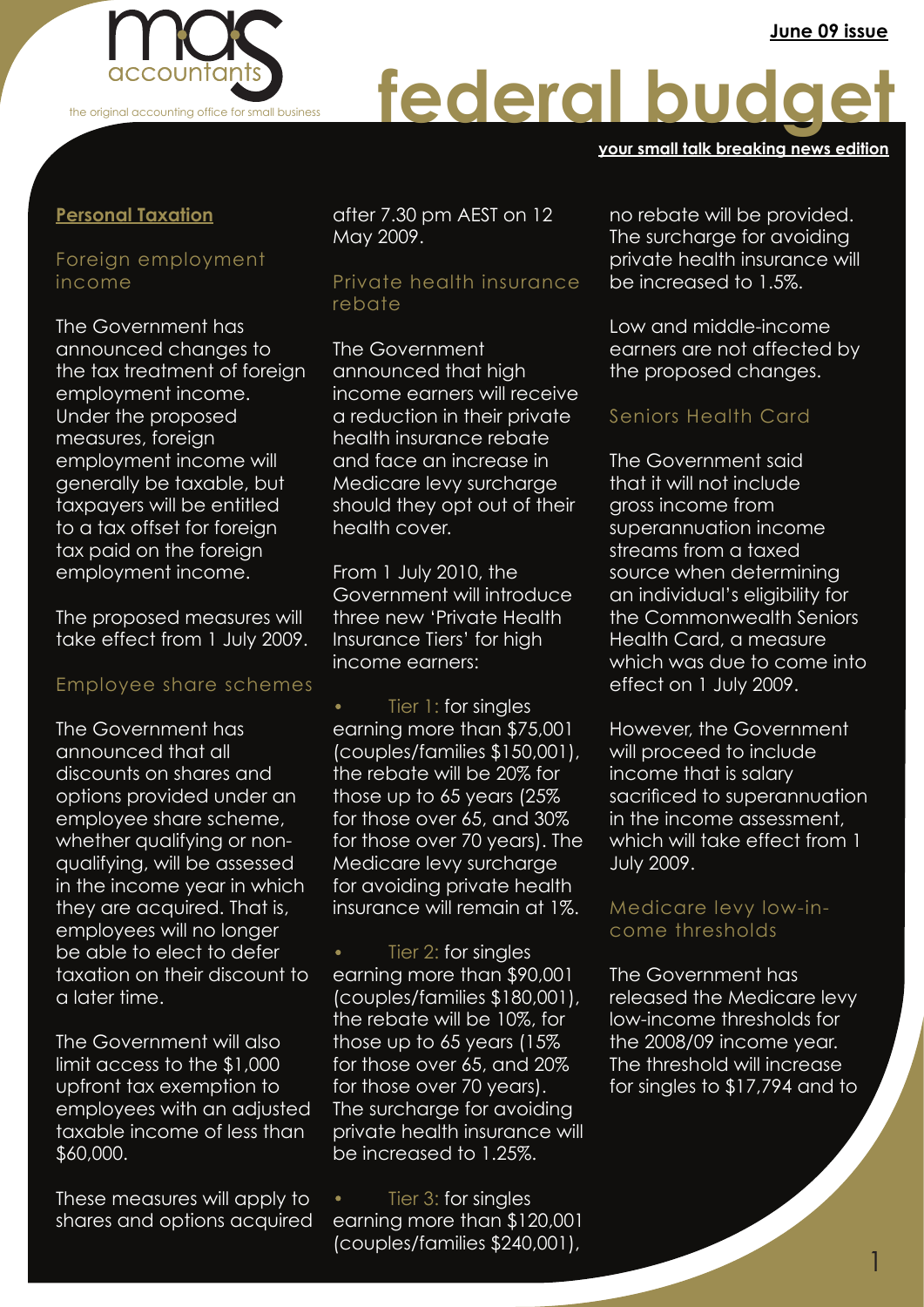

# federal budg

#### **your small talk breaking news edition**

### **Personal Taxation**

## Foreign employment income

The Government has announced changes to the tax treatment of foreign employment income. Under the proposed measures, foreign employment income will generally be taxable, but taxpayers will be entitled to a tax offset for foreign tax paid on the foreign employment income.

The proposed measures will take effect from 1 July 2009.

#### Employee share schemes

The Government has announced that all discounts on shares and options provided under an employee share scheme, whether qualifying or nonqualifying, will be assessed in the income year in which they are acquired. That is, employees will no longer be able to elect to defer taxation on their discount to a later time.

The Government will also limit access to the \$1,000 upfront tax exemption to employees with an adjusted taxable income of less than \$60,000.

These measures will apply to shares and options acquired after 7.30 pm AEST on 12 May 2009.

#### Private health insurance rebate

The Government announced that high income earners will receive a reduction in their private health insurance rebate and face an increase in Medicare levy surcharge should they opt out of their health cover.

From 1 July 2010, the Government will introduce three new 'Private Health Insurance Tiers' for high income earners:

· Tier 1: for singles earning more than \$75,001 (couples/families \$150,001), the rebate will be 20% for those up to 65 years (25% for those over 65, and 30% for those over 70 years). The Medicare levy surcharge for avoiding private health insurance will remain at 1%.

· Tier 2: for singles earning more than \$90,001 (couples/families \$180,001), the rebate will be 10%, for those up to 65 years (15% for those over 65, and 20% for those over 70 years). The surcharge for avoiding private health insurance will be increased to 1.25%.

· Tier 3: for singles earning more than \$120,001 (couples/families \$240,001),

no rebate will be provided. The surcharge for avoiding private health insurance will be increased to 1.5%.

Low and middle-income earners are not affected by the proposed changes.

# Seniors Health Card

. the Commonwealth Seniors The Government said that it will not include gross income from superannuation income streams from a taxed source when determining an individual's eligibility for Health Card, a measure which was due to come into effect on 1 July 2009.

However, the Government will proceed to include income that is salary sacrificed to superannuation in the income assessment, which will take effect from 1 July 2009.

#### Medicare levy low-income thresholds

The Government has released the Medicare levy low-income thresholds for the 2008/09 income year. The threshold will increase for singles to \$17,794 and to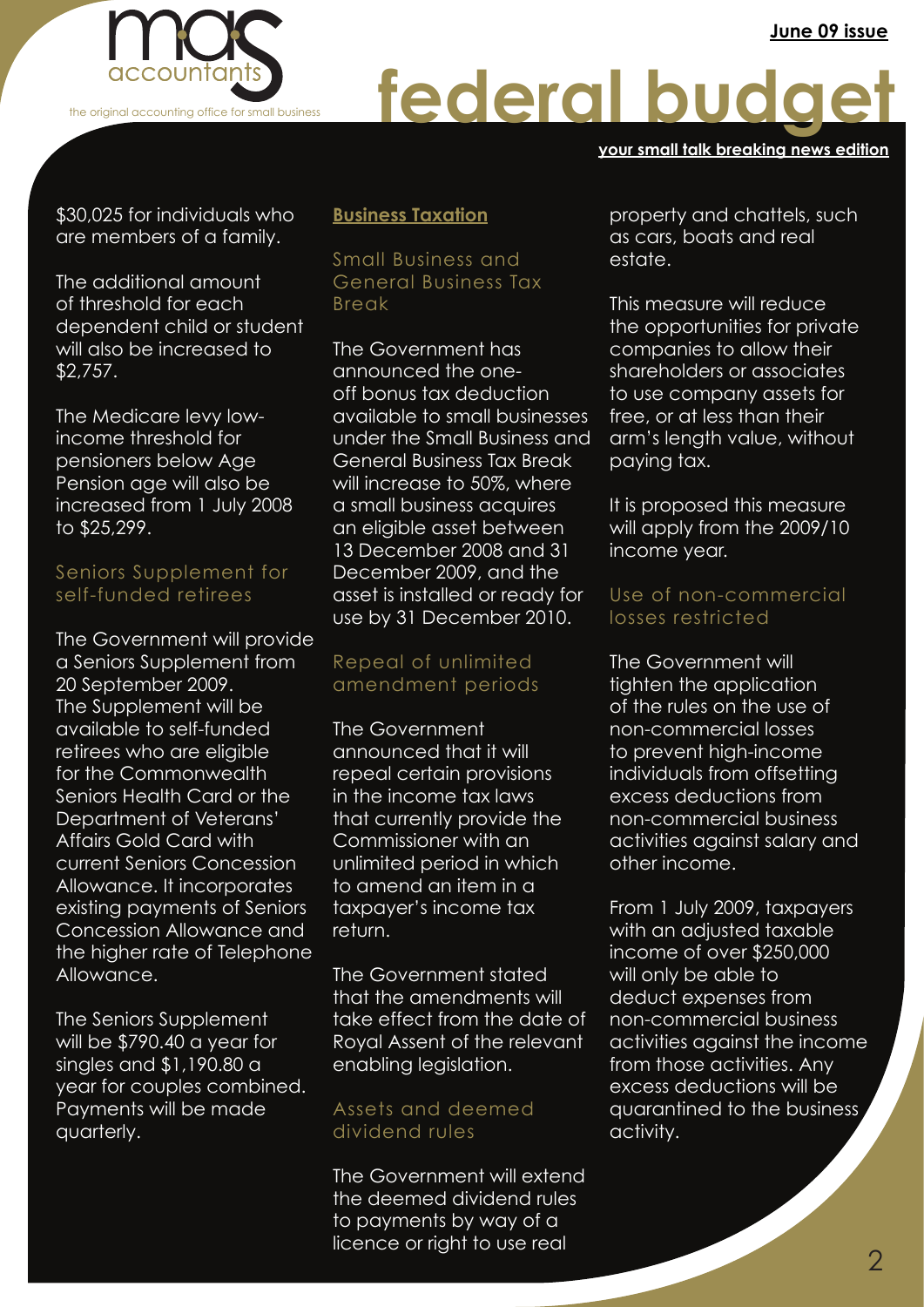

# federal budge

#### **your small talk breaking news edition**

\$30,025 for individuals who are members of a family.

The additional amount of threshold for each dependent child or student will also be increased to \$2,757.

The Medicare levy lowincome threshold for pensioners below Age Pension age will also be increased from 1 July 2008 to \$25,299.

#### Seniors Supplement for self-funded retirees

The Government will provide a Seniors Supplement from 20 September 2009. The Supplement will be available to self-funded retirees who are eligible for the Commonwealth Seniors Health Card or the Department of Veterans' Affairs Gold Card with current Seniors Concession Allowance. It incorporates existing payments of Seniors Concession Allowance and the higher rate of Telephone Allowance.

The Seniors Supplement will be \$790.40 a year for singles and \$1,190.80 a year for couples combined. Payments will be made quarterly.

### **Business Taxation**

Small Business and General Business Tax Break

The Government has announced the oneoff bonus tax deduction available to small businesses under the Small Business and General Business Tax Break will increase to 50%, where a small business acquires an eligible asset between 13 December 2008 and 31 December 2009, and the asset is installed or ready for use by 31 December 2010.

# Repeal of unlimited amendment periods

The Government announced that it will repeal certain provisions in the income tax laws that currently provide the Commissioner with an unlimited period in which to amend an item in a taxpayer's income tax return.

The Government stated that the amendments will take effect from the date of Royal Assent of the relevant enabling legislation.

#### Assets and deemed dividend rules

The Government will extend the deemed dividend rules to payments by way of a licence or right to use real

property and chattels, such as cars, boats and real estate.

This measure will reduce the opportunities for private companies to allow their shareholders or associates to use company assets for free, or at less than their arm's length value, without paying tax.

It is proposed this measure will apply from the 2009/10 income year.

### . losses restricted Use of non-commercial

The Government will tighten the application of the rules on the use of non-commercial losses to prevent high-income individuals from offsetting excess deductions from non-commercial business activities against salary and other income.

From 1 July 2009, taxpayers with an adjusted taxable income of over \$250,000 will only be able to deduct expenses from non-commercial business activities against the income from those activities. Any excess deductions will be quarantined to the business activity.